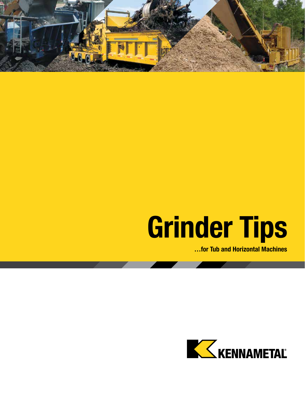

# **Grinder Tips**

**…for Tub and Horizontal Machines**

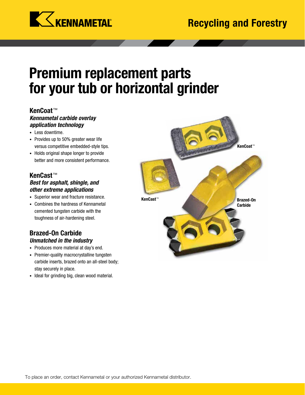

### **Premium replacement parts for your tub or horizontal grinder**

### **KenCoat**™

### *Kennametal carbide overlay application technology*

- **•** Less downtime.
- **•** Provides up to 50% greater wear life versus competitive embedded-style tips.
- **•** Holds original shape longer to provide better and more consistent performance.

### **KenCast**™ *Best for asphalt, shingle, and other extreme applications*

- **•** Superior wear and fracture resistance.
- **•** Combines the hardness of Kennametal cemented tungsten carbide with the toughness of air-hardening steel.

### **Brazed-On Carbide** *Unmatched in the industry*

- **•** Produces more material at day's end.
- **•** Premier-quality macrocrystalline tungsten carbide inserts, brazed onto an all-steel body; stay securely in place.
- **•** Ideal for grinding big, clean wood material.

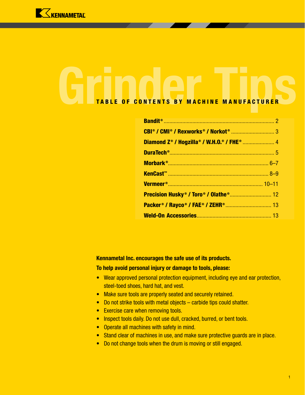

## Grinder CONTENTS BY MACHINE MANUFACTURER TABLE OF CONTENTS BY MACHINE MANUFACTURER

| <b>Precision Husky<sup>®</sup> / Toro<sup>®</sup> / Olathe® 12</b> |  |
|--------------------------------------------------------------------|--|
|                                                                    |  |
|                                                                    |  |

### **Kennametal Inc. encourages the safe use of its products.**

### **To help avoid personal injury or damage to tools, please:**

- **•** Wear approved personal protection equipment, including eye and ear protection, steel-toed shoes, hard hat, and vest.
- **•** Make sure tools are properly seated and securely retained.
- **•** Do not strike tools with metal objects carbide tips could shatter.
- **•** Exercise care when removing tools.
- **•** Inspect tools daily. Do not use dull, cracked, burred, or bent tools.
- **•** Operate all machines with safety in mind.
- **•** Stand clear of machines in use, and make sure protective guards are in place.
- **•** Do not change tools when the drum is moving or still engaged.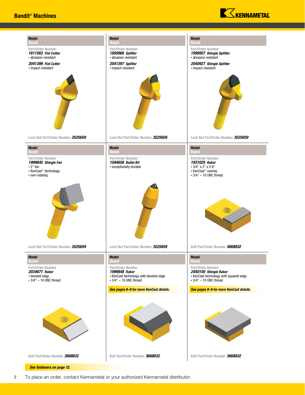

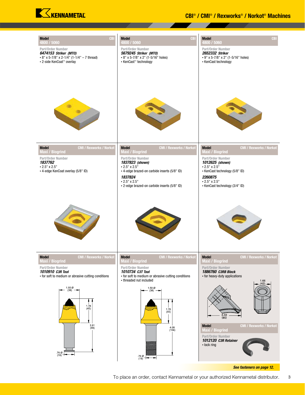![](_page_4_Picture_0.jpeg)

| <b>CB</b><br><b>Model</b><br>4800 / 5060<br>Part/Order Number<br>6474153 Striker (MTO)<br>• 8" x 5-7/8" x 2-1/4" (1-1/4" - 7 thread)<br>• 2-side KenCoat™ overlay | <b>CBI</b><br><b>Model</b><br>4800 / 5060<br>Part/Order Number<br>5679245 Striker (MTO)<br>• 8" x 5-7/8" x 2" (1-5/16" holes)<br>• KenCast™ technology | <b>CBI</b><br><b>Model</b><br>4800 / 5060<br>Part/Order Number<br>2652332 Striker<br>• 9" x 5-7/8" x 2" (1-5/16" holes)<br>• KenCast technology |
|-------------------------------------------------------------------------------------------------------------------------------------------------------------------|--------------------------------------------------------------------------------------------------------------------------------------------------------|-------------------------------------------------------------------------------------------------------------------------------------------------|
|                                                                                                                                                                   |                                                                                                                                                        |                                                                                                                                                 |
| <b>CMI / Rexworks / Norkot</b><br><b>Model</b><br><b>Maxi / Biogrind</b><br>Part/Order Number                                                                     | <b>CMI / Rexworks / Norkot</b><br><b>Model</b><br><b>Maxi / Biogrind</b><br>Part/Order Number                                                          | <b>CMI / Rexworks / Norkot</b><br><b>Model</b><br>Maxi / Biogrind<br>Part/Order Number                                                          |
| 1837762<br>$\cdot$ 2.5" x 2.5"<br>• 4-edge KenCoat overlay (5/8" ID)                                                                                              | 1837823 (shown)<br>$\cdot$ 2.5" x 2.5"<br>• 4-edge brazed-on carbide inserts (5/8" ID)                                                                 | 1012625 (shown)<br>$\cdot$ 2.5" x 2.5"<br>• KenCast technology (5/8" ID)                                                                        |
|                                                                                                                                                                   | 1837824<br>$\cdot$ 2.5" x 2.5"<br>• 2-edge brazed-on carbide inserts (5/8" ID)                                                                         | 2260875<br>$\cdot$ 2.5" x 2.5"<br>• KenCast technology (3/4" ID)                                                                                |
|                                                                                                                                                                   |                                                                                                                                                        |                                                                                                                                                 |
| <b>Model</b><br><b>CMI / Rexworks / Norkot</b><br><b>Maxi / Biogrind</b>                                                                                          | <b>Model</b><br><b>CMI / Rexworks / Norkot</b><br><b>Maxi / Biogrind</b><br>Part/Order Number                                                          | <b>Model</b><br><b>CMI / Rexworks / Norkot</b><br><b>Maxi / Biogrind</b><br>Part/Order Number                                                   |
| Part/Order Number<br>1010910 C3R Tool<br>• for soft to medium or abrasive cutting conditions                                                                      | 1010734 C3T Tool<br>• for soft to medium or abrasive cutting conditions<br>• threaded nut included                                                     | 1886760 C3RB Block<br>• for heavy-duty applications<br>$1.66$<br>(42).                                                                          |
| $^{1.50}_{(38)}$<br>$\frac{178}{(45)}$                                                                                                                            | 1.50 Ø<br>(38)<br>$\frac{1.76}{(45)}$                                                                                                                  | $\frac{3.33}{(85)}$<br><b>Model</b><br><b>CMI / Rexworks / Norkot</b>                                                                           |
| $\frac{3.91}{(99)}$<br>76 Ø<br>(19)                                                                                                                               | $\begin{array}{c} 4.08 \\ (104) \end{array}$<br>$^{76}_{(19)}$                                                                                         | <b>Maxi / Biogrind</b><br>Part/Order Number<br>1012120 C3R Retainer<br>• lock ring                                                              |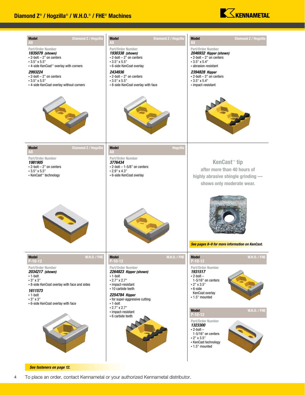![](_page_5_Picture_1.jpeg)

![](_page_5_Figure_2.jpeg)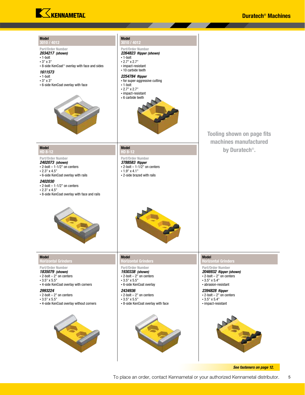![](_page_6_Picture_0.jpeg)

| <b>Model</b><br>3010 / 4012<br>Part/Order Number<br>2034217 (shown)<br>$\cdot$ 1-bolt<br>$\cdot$ 3" x 3"<br>• 8-side KenCoat™ overlay with face and sides<br>1611573<br>$\cdot$ 1-bolt<br>$\cdot$ 3" $\times$ 3"<br>• 6-side KenCoat overlay with face                                                    | <b>Model</b><br>3010 / 4012<br>Part/Order Number<br>2264823 Ripper (shown)<br>$\cdot$ 1-bolt<br>$\cdot$ 2.7" x 2.7"<br>• impact-resistant<br>• 10 carbide teeth<br>2254784 Ripper<br>• for super-aggressive cutting<br>$\cdot$ 1-bolt<br>$\cdot$ 2.7" x 2.7"<br>• impact-resistant<br>• 6 carbide teeth | <b>Tooling shown on page fits</b><br>machines manufactured                                                                                                                                                                                                                  |
|-----------------------------------------------------------------------------------------------------------------------------------------------------------------------------------------------------------------------------------------------------------------------------------------------------------|---------------------------------------------------------------------------------------------------------------------------------------------------------------------------------------------------------------------------------------------------------------------------------------------------------|-----------------------------------------------------------------------------------------------------------------------------------------------------------------------------------------------------------------------------------------------------------------------------|
| <b>Model</b><br>HD 8-12<br>Part/Order Number<br>2402073 (shown)<br>$\cdot$ 2-bolt - 1-1/2" on centers<br>$\cdot$ 2.3" x 4.5"<br>• 6-side KenCoat overlay with rails<br><i><b>2402030</b></i><br>$\cdot$ 2-bolt - 1-1/2" on centers<br>$\cdot$ 2.3" x 4.5"<br>• 8-side KenCoat overlay with face and rails | <b>Model</b><br>HD 8-12<br>Part/Order Number<br>3788583 Ripper<br>$\cdot$ 2-bolt - 1-1/2" on centers<br>$\cdot$ 1.9" x 4.1"<br>• 2-side brazed with rails                                                                                                                                               | by Duratech <sup>®</sup> .                                                                                                                                                                                                                                                  |
| <b>Model</b><br><b>Horizontal Grinders</b><br>Part/Order Number<br>1835079 (shown)<br>$\cdot$ 2-bolt - 2" on centers<br>$\cdot$ 3.5" x 5.5"<br>• 4-side KenCoat overlay with corners<br>2993224<br>$\cdot$ 2-bolt - 2" on centers<br>$\cdot$ 3.5" x 5.5"<br>• 4-side KenCoat overlay without corners      | <b>Model</b><br><b>Horizontal Grinders</b><br>Part/Order Number<br>1930338 (shown)<br>$\cdot$ 2-bolt - 2" on centers<br>$\cdot$ 3.5" x 5.5"<br>• 6-side KenCoat overlay<br>2434936<br>$\cdot$ 2-bolt - 2" on centers<br>$\cdot$ 3.5" x 5.5"<br>• 8-side KenCoat overlay with face                       | <b>Model</b><br><b>Horizontal Grinders</b><br>Part/Order Number<br>2046932 Ripper (shown)<br>$\cdot$ 2-bolt - 2" on centers<br>$\cdot$ 3.5" x 5.4"<br>• abrasion-resistant<br>2394828 Ripper<br>$\cdot$ 2-bolt - 2" on centers<br>$\cdot$ 3.5" x 5.4"<br>• impact-resistant |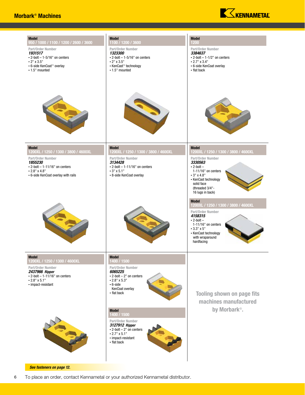![](_page_7_Picture_1.jpeg)

![](_page_7_Picture_2.jpeg)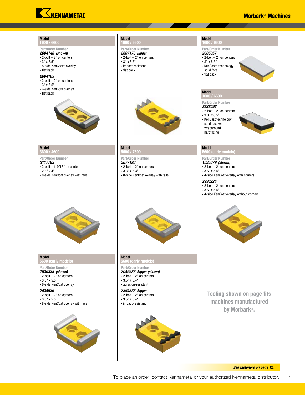![](_page_8_Picture_0.jpeg)

### Morbark® Machines

| <b>Model</b><br>1600 / 6600<br>Part/Order Number<br>2604148 (shown)<br>$\cdot$ 2-bolt - 2" on centers<br>$\cdot$ 3" x 6.5"<br>• 8-side KenCoat™ overlay<br>• flat back<br>2604163<br>$\cdot$ 2-bolt - 2" on centers<br>$\cdot$ 3" x 6.5"<br>• 6-side KenCoat overlay<br>• flat back | <b>Model</b><br>1600 / 6600<br>Part/Order Number<br>2607173 Ripper<br>$\cdot$ 2-bolt - 2" on centers<br>$\cdot$ 3" x 6.5"<br>• impact-resistant<br>• flat back                                                                                                       | <b>Model</b><br>1600 / 6600<br>Part/Order Number<br>2885057<br>$\cdot$ 2-bolt - 2" on centers<br>$\cdot$ 3" x 6.5"<br>• KenCast™ technology<br>solid face<br>• flat back<br><b>Model</b><br>1600 / 6600<br>Part/Order Number<br>3838092<br>$\cdot$ 2-bolt - 2" on centers<br>$\cdot$ 3.3" x 6.5"<br>• KenCast technology<br>solid face with<br>wraparound<br>hardfacing |
|-------------------------------------------------------------------------------------------------------------------------------------------------------------------------------------------------------------------------------------------------------------------------------------|----------------------------------------------------------------------------------------------------------------------------------------------------------------------------------------------------------------------------------------------------------------------|-------------------------------------------------------------------------------------------------------------------------------------------------------------------------------------------------------------------------------------------------------------------------------------------------------------------------------------------------------------------------|
| <b>Model</b><br>3600 / 4600<br>Part/Order Number<br>3117793<br>$\cdot$ 2-bolt - 1-9/16" on centers<br>$\cdot$ 2.8" x 4"<br>• 8-side KenCoat overlay with rails                                                                                                                      | <b>Model</b><br>5600 / 7600<br>Part/Order Number<br>3077198<br>$\cdot$ 2-bolt - 2" on centers<br>$\cdot$ 3.3" x 6.3"<br>• 8-side KenCoat overlay with rails                                                                                                          | <b>Model</b><br>5600 (early models)<br>Part/Order Number<br>1835079 (shown)<br>$\cdot$ 2-bolt - 2" on centers<br>$\cdot$ 3.5" x 5.5"<br>• 4-side KenCoat overlay with corners<br>2993224<br>$\cdot$ 2-bolt - 2" on centers<br>$\cdot$ 3.5" x 5.5"<br>• 4-side KenCoat overlay without corners                                                                           |
| <b>Model</b><br>5600 (early models)<br>Part/Order Number<br>1930338 (shown)<br>$\cdot$ 2-bolt - 2" on centers<br>$\cdot$ 3.5" x 5.5"<br>• 6-side KenCoat overlay<br>2434936<br>$\cdot$ 2-bolt - 2" on centers<br>$\cdot$ 3.5" x 5.5"<br>• 8-side KenCoat overlay with face          | <b>Model</b><br>5600 (early models)<br>Part/Order Number<br>2046932 Ripper (shown)<br>$\cdot$ 2-bolt - 2" on centers<br>$\cdot$ 3.5" x 5.4"<br>· abrasion-resistant<br>2394828 Ripper<br>$\cdot$ 2-bolt - 2" on centers<br>$\cdot$ 3.5" x 5.4"<br>• impact-resistant | <b>Tooling shown on page fits</b><br>machines manufactured<br>by Morbark®.                                                                                                                                                                                                                                                                                              |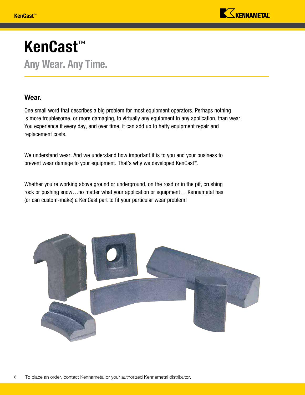![](_page_9_Picture_1.jpeg)

### KenCast™ Any Wear. Any Time.

### Wear.

One small word that describes a big problem for most equipment operators. Perhaps nothing is more troublesome, or more damaging, to virtually any equipment in any application, than wear. You experience it every day, and over time, it can add up to hefty equipment repair and replacement costs.

We understand wear. And we understand how important it is to you and your business to prevent wear damage to your equipment. That's why we developed KenCast™.

Whether you're working above ground or underground, on the road or in the pit, crushing rock or pushing snow…no matter what your application or equipment… Kennametal has (or can custom-make) a KenCast part to fit your particular wear problem!

![](_page_9_Picture_7.jpeg)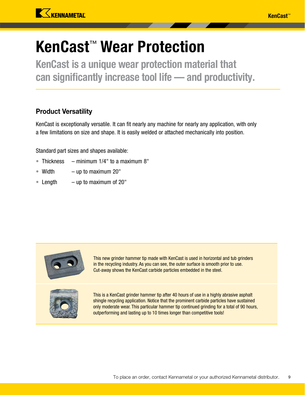![](_page_10_Picture_0.jpeg)

### KenCast™ Wear Protection

KenCast is a unique wear protection material that can significantly increase tool life — and productivity.

### Product Versatility

KenCast is exceptionally versatile. It can fit nearly any machine for nearly any application, with only a few limitations on size and shape. It is easily welded or attached mechanically into position.

Standard part sizes and shapes available:

- Thickness  $-$  minimum 1/4" to a maximum 8"
- Width up to maximum 20"
- Length  $-$  up to maximum of 20"

![](_page_10_Picture_10.jpeg)

This new grinder hammer tip made with KenCast is used in horizontal and tub grinders in the recycling industry. As you can see, the outer surface is smooth prior to use. Cut-away shows the KenCast carbide particles embedded in the steel.

![](_page_10_Picture_12.jpeg)

This is a KenCast grinder hammer tip after 40 hours of use in a highly abrasive asphalt shingle recycling application. Notice that the prominent carbide particles have sustained only moderate wear. This particular hammer tip continued grinding for a total of 90 hours, outperforming and lasting up to 10 times longer than competitive tools!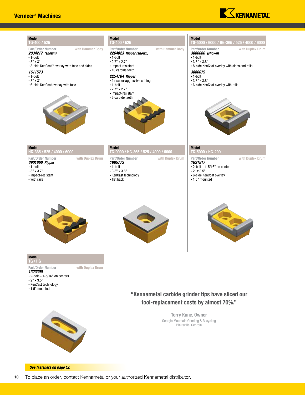### Vermeer® Machines

![](_page_11_Picture_1.jpeg)

| <b>Model</b>                                                                                                                                                                                                                    | <b>Model</b>                                                                                                                                                                                                                                                                                 | <b>Model</b>                                                                                                                                                                                                                                  |
|---------------------------------------------------------------------------------------------------------------------------------------------------------------------------------------------------------------------------------|----------------------------------------------------------------------------------------------------------------------------------------------------------------------------------------------------------------------------------------------------------------------------------------------|-----------------------------------------------------------------------------------------------------------------------------------------------------------------------------------------------------------------------------------------------|
| TG-400 / 525                                                                                                                                                                                                                    | TG-400 / 525                                                                                                                                                                                                                                                                                 | TG-5000 / 9000 / HG-365 / 525 / 4000 / 6000                                                                                                                                                                                                   |
| with Hammer Body<br>Part/Order Number<br>2034217 (shown)<br>$\cdot$ 1-bolt<br>$\cdot$ 3" x 3"<br>• 8-side KenCoat™ overlay with face and sides<br>1611573<br>$\cdot$ 1-bolt<br>$-3"$ x 3"<br>• 6-side KenCoat overlay with face | Part/Order Number<br>with Hammer Body<br>2264823 Ripper (shown)<br>$\cdot$ 1-bolt<br>$\cdot$ 2.7" x 2.7"<br>• impact-resistant<br>• 10 carbide teeth<br>2254784 Ripper<br>• for super-aggressive cutting<br>$\cdot$ 1-bolt<br>$\cdot$ 2.7" x 2.7"<br>• impact-resistant<br>• 6 carbide teeth | Part/Order Number<br>with Duplex Drum<br>3880080 (shown)<br>$\cdot$ 1-bolt<br>$\cdot$ 3.3" x 3.8"<br>• 8-side KenCoat overlay with sides and rails<br>3880079<br>$\cdot$ 1-bolt<br>$\cdot$ 3.3" x 3.8"<br>• 6-side KenCoat overlay with rails |
| <b>Model</b>                                                                                                                                                                                                                    | <b>Model</b>                                                                                                                                                                                                                                                                                 | <b>Model</b>                                                                                                                                                                                                                                  |
| HG-365 / 525 / 4000 / 6000                                                                                                                                                                                                      | TG-9000 / HG-365 / 525 / 4000 / 6000                                                                                                                                                                                                                                                         | TG-5000 / HG-200                                                                                                                                                                                                                              |
| with Duplex Drum                                                                                                                                                                                                                | with Duplex Drum                                                                                                                                                                                                                                                                             | Part/Order Number                                                                                                                                                                                                                             |
| Part/Order Number                                                                                                                                                                                                               | Part/Order Number                                                                                                                                                                                                                                                                            | with Duplex Drum                                                                                                                                                                                                                              |
| 3901860 Ripper                                                                                                                                                                                                                  | 1985773                                                                                                                                                                                                                                                                                      | 1931517                                                                                                                                                                                                                                       |
| $\cdot$ 1-bolt                                                                                                                                                                                                                  | $\cdot$ 1-bolt                                                                                                                                                                                                                                                                               | $\cdot$ 2-bolt - 1-5/16" on centers                                                                                                                                                                                                           |
| $\cdot$ 3" x 3.7"                                                                                                                                                                                                               | $\cdot$ 3.3" x 3.8"                                                                                                                                                                                                                                                                          | $\cdot$ 2" x 3.5"                                                                                                                                                                                                                             |
| • impact-resistant                                                                                                                                                                                                              | • KenCast technology                                                                                                                                                                                                                                                                         | • 6-side KenCoat overlay                                                                                                                                                                                                                      |
| • with rails                                                                                                                                                                                                                    | • flat back                                                                                                                                                                                                                                                                                  | $\cdot$ 1.5" mounted                                                                                                                                                                                                                          |
| <b>Model</b><br>TG / HG<br>Part/Order Number<br>with Duplex Drum<br>1323300<br>$\cdot$ 2-bolt - 1-5/16" on centers<br>$\cdot$ 2" x 3.5"<br>• KenCast technology<br>$\cdot$ 1.5" mounted<br>S                                    | "Kennametal carbide grinder tips have sliced our<br>tool-replacement costs by almost 70%."<br>Terry Kane, Owner<br>Georgia Mountain Grinding & Recycling<br>Blairsville, Georgia                                                                                                             |                                                                                                                                                                                                                                               |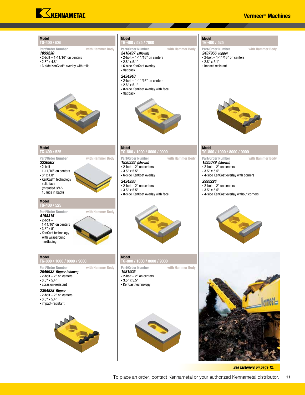![](_page_12_Picture_0.jpeg)

#### Vermeer® Machines

![](_page_12_Picture_2.jpeg)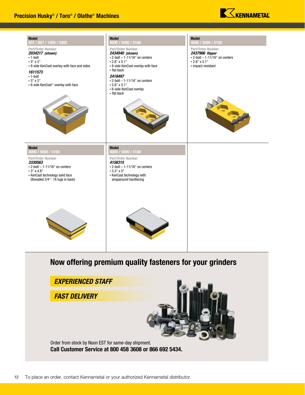![](_page_13_Picture_1.jpeg)

![](_page_13_Figure_2.jpeg)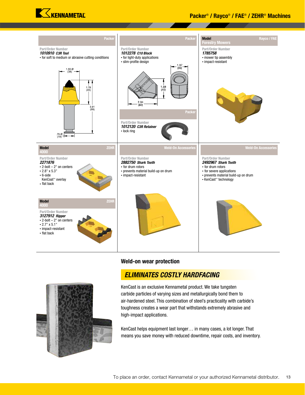![](_page_14_Picture_0.jpeg)

### Packer® / Rayco® / FAE® / ZEHR® Machines

![](_page_14_Figure_2.jpeg)

#### **Weld-on wear protection**

![](_page_14_Picture_4.jpeg)

### *ELIMINATES COSTLY HARDFACING*

KenCast is an exclusive Kennametal product. We take tungsten carbide particles of varying sizes and metallurgically bond them to air-hardened steel. This combination of steel's practicality with carbide's toughness creates a wear part that withstands extremely abrasive and high-impact applications.

KenCast helps equipment last longer… in many cases, a lot longer. That means you save money with reduced downtime, repair costs, and inventory.